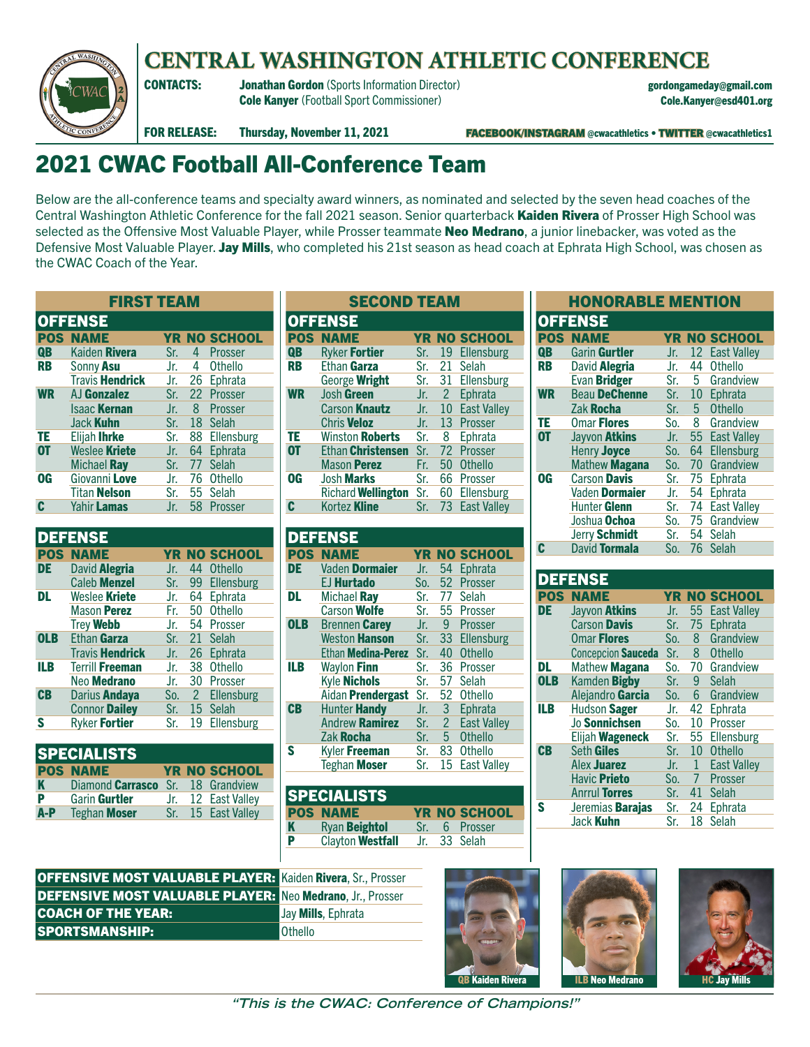



## CONTACTS: Jonathan Gordon (Sports Information Director) gordongameday@gmail.com Cole Kanyer (Football Sport Commissioner) Cole.Kanyer@esd401.org

FOR RELEASE: Thursday, November 11, 2021 FACEBOOK/INSTAGRAM @cwacathletics • TWITTER @cwacathletics1

## 2021 CWAC Football All-Conference Team

Below are the all-conference teams and specialty award winners, as nominated and selected by the seven head coaches of the Central Washington Athletic Conference for the fall 2021 season. Senior quarterback **Kaiden Rivera** of Prosser High School was selected as the Offensive Most Valuable Player, while Prosser teammate Neo Medrano, a junior linebacker, was voted as the Defensive Most Valuable Player. Jay Mills, who completed his 21st season as head coach at Ephrata High School, was chosen as the CWAC Coach of the Year.

SECOND TEAM

| <b>FIRST TEAM</b>      |               |    |                                                          |  |  |  |  |  |  |
|------------------------|---------------|----|----------------------------------------------------------|--|--|--|--|--|--|
| <b>OFFENSE</b>         |               |    |                                                          |  |  |  |  |  |  |
| <b>POS NAME</b>        |               |    | <b>YR NO SCHOOL</b>                                      |  |  |  |  |  |  |
| Kaiden Rivera          | Sr.           |    | 4 Prosser                                                |  |  |  |  |  |  |
| Sonny Asu              |               | 4  | <b>Othello</b>                                           |  |  |  |  |  |  |
| <b>Travis Hendrick</b> |               |    | 26 Ephrata                                               |  |  |  |  |  |  |
| AJ Gonzalez            |               |    |                                                          |  |  |  |  |  |  |
| <b>Isaac Kernan</b>    |               |    | 8 Prosser                                                |  |  |  |  |  |  |
| Jack Kuhn              |               |    | 18 Selah                                                 |  |  |  |  |  |  |
| Elijah Ihrke           |               |    | 88 Ellensburg                                            |  |  |  |  |  |  |
|                        | Jr.           |    | 64 Ephrata                                               |  |  |  |  |  |  |
| Michael Ray            | Sr.           |    | 77 Selah                                                 |  |  |  |  |  |  |
| Giovanni Love          |               |    | 76 Othello                                               |  |  |  |  |  |  |
| <b>Titan Nelson</b>    | Sr.           |    | 55 Selah                                                 |  |  |  |  |  |  |
| Yahir <b>Lamas</b>     | Jr.           | 58 | Prosser                                                  |  |  |  |  |  |  |
|                        | Weslee Kriete |    | Jr.<br>Jr.<br>Sr. 22 Prosser<br>Jr.<br>Sr.<br>Sr.<br>Jr. |  |  |  |  |  |  |

|            | <b>DEFENSE</b>         |       |                 |                     |
|------------|------------------------|-------|-----------------|---------------------|
|            | <b>POS NAME</b>        |       |                 | <b>YR NO SCHOOL</b> |
| DE         | David <b>Alegria</b>   | Jr.   | 44              | <b>Othello</b>      |
|            | <b>Caleb Menzel</b>    | Sr.   |                 | 99 Ellensburg       |
| DL         | Weslee Kriete          | Jr.   |                 | 64 Ephrata          |
|            | Mason Perez            | Fr. . |                 | 50 Othello          |
|            | <b>Trey Webb</b>       | Jr.   |                 | 54 Prosser          |
| <b>OLB</b> | Ethan Garza            | Sr.   | 21              | Selah               |
|            | <b>Travis Hendrick</b> | Jr.   | 26              | Ephrata             |
| ILB        | <b>Terrill Freeman</b> | Jr.   |                 | 38 Othello          |
|            | Neo <b>Medrano</b>     | Jr.   | 30 <sup>°</sup> | Prosser             |
| $CB$       | Darius <b>Andaya</b>   | So.   | $\overline{2}$  | Ellensburg          |
|            | <b>Connor Dailey</b>   | Sr.   |                 | 15 Selah            |
| S          | Ryker Fortier          | Sr.   | 19              | Ellensburg          |
|            |                        |       |                 |                     |

| <b>SPECIALISTS</b> |                                   |  |  |                     |  |  |  |  |  |
|--------------------|-----------------------------------|--|--|---------------------|--|--|--|--|--|
|                    | <b>POS NAME</b>                   |  |  | <b>YR NO SCHOOL</b> |  |  |  |  |  |
| K                  | Diamond Carrasco Sr. 18 Grandview |  |  |                     |  |  |  |  |  |
| P                  | Garin Gurtler                     |  |  | Jr. 12 East Valley  |  |  |  |  |  |
| $A-P$              | <b>Teghan Moser</b>               |  |  | Sr. 15 East Valley  |  |  |  |  |  |

|            | <b>OFFENSE</b>            |           |                |                    |  |  |  |  |
|------------|---------------------------|-----------|----------------|--------------------|--|--|--|--|
| <b>POS</b> | <b>NAME</b>               | <b>YR</b> |                | <b>NO SCHOOL</b>   |  |  |  |  |
| <b>QB</b>  | Ryker <b>Fortier</b>      | Sr.       | 19             | Ellensburg         |  |  |  |  |
| RB         | Ethan Garza               | Sr.       | 21             | Selah              |  |  |  |  |
|            | George Wright             | Sr.       | 31             | Ellensburg         |  |  |  |  |
| <b>WR</b>  | Josh Green                | Jr.       | $\overline{2}$ | Ephrata            |  |  |  |  |
|            | Carson <b>Knautz</b>      | Jr.       | 10             | <b>East Valley</b> |  |  |  |  |
|            | <b>Chris Veloz</b>        | Jr.       | 13             | Prosser            |  |  |  |  |
| ΤE         | Winston <b>Roberts</b>    | Sr.       | 8              | Ephrata            |  |  |  |  |
| <b>OT</b>  | Ethan Christensen         | Sr.       | 72             | Prosser            |  |  |  |  |
|            | <b>Mason Perez</b>        | Fr.       | 50             | <b>Othello</b>     |  |  |  |  |
| <b>OG</b>  | <b>Josh Marks</b>         | Sr.       | 66             | Prosser            |  |  |  |  |
|            | <b>Richard Wellington</b> | Sr.       | 60             | Ellensburg         |  |  |  |  |
| C          | Kortez <b>Kline</b>       | Sr.       |                | 73 East Valley     |  |  |  |  |

|            | <b>DEFENSE</b>           |      |                |                    |
|------------|--------------------------|------|----------------|--------------------|
|            | <b>POS NAME</b>          | YR I |                | <b>NO SCHOOL</b>   |
| DE         | Vaden Dormaier           | Jr.  | 54             | Ephrata            |
|            | EJ <b>Hurtado</b>        | So.  |                | 52 Prosser         |
| DL         | Michael Ray              | Sr.  | 77             | Selah              |
|            | <b>Carson Wolfe</b>      | Sr.  |                | 55 Prosser         |
| <b>OLB</b> | <b>Brennen Carey</b>     | Jr.  | 9 <sup>°</sup> | Prosser            |
|            | <b>Weston Hanson</b>     | Sr.  |                | 33 Ellensburg      |
|            | Ethan Medina-Perez       | Sr.  | 40             | Othello            |
| ILB        | Waylon Finn              | Sr.  |                | 36 Prosser         |
|            | <b>Kyle Nichols</b>      | Sr.  | 57             | Selah              |
|            | Aidan <b>Prendergast</b> | Sr.  | 52             | Othello            |
| <b>CB</b>  | Hunter <b>Handy</b>      | Jr.  | 3 <sup>2</sup> | Ephrata            |
|            | <b>Andrew Ramirez</b>    | Sr.  |                | 2 East Valley      |
|            | Zak Rocha                | Sr.  | 5 <sup>1</sup> | <b>Othello</b>     |
| S          | Kyler Freeman            | Sr.  |                | 83 Othello         |
|            | Teghan <b>Moser</b>      | Sr.  | 15             | <b>East Valley</b> |

| <b>SPECIALISTS</b> |                      |  |  |                     |  |  |  |  |
|--------------------|----------------------|--|--|---------------------|--|--|--|--|
|                    | <b>POS NAME</b>      |  |  | <b>YR NO SCHOOL</b> |  |  |  |  |
|                    | <b>Ryan Beightol</b> |  |  | Sr. 6 Prosser       |  |  |  |  |
|                    | Clayton Westfall     |  |  | Jr. 33 Selah        |  |  |  |  |
| K<br>P             |                      |  |  |                     |  |  |  |  |

| <b>HONORABLE MENTION</b> |                      |       |  |                     |  |  |  |  |
|--------------------------|----------------------|-------|--|---------------------|--|--|--|--|
|                          | <b>OFFENSE</b>       |       |  |                     |  |  |  |  |
|                          | <b>POS NAME</b>      |       |  | <b>YR NO SCHOOL</b> |  |  |  |  |
| QB                       | Garin Gurtler        | Jr.   |  | 12 East Valley      |  |  |  |  |
| <b>RB</b>                | David Alegria        | Jr.   |  | 44 Othello          |  |  |  |  |
|                          | Evan Bridger         |       |  | Sr. 5 Grandview     |  |  |  |  |
| <b>WR</b>                | <b>Beau DeChenne</b> | Sr.   |  | 10 Ephrata          |  |  |  |  |
|                          | Zak Rocha            | Sr.   |  | 5 Othello           |  |  |  |  |
| TE                       | <b>Omar Flores</b>   |       |  | So. 8 Grandview     |  |  |  |  |
| <b>OT</b>                | Jayvon Atkins        | Jr.   |  | 55 East Valley      |  |  |  |  |
|                          | Henry Joyce          | So.   |  | 64 Ellensburg       |  |  |  |  |
|                          | Mathew Magana        |       |  | So. 70 Grandview    |  |  |  |  |
| <b>OG</b>                | <b>Carson Davis</b>  | Sr.   |  | 75 Ephrata          |  |  |  |  |
|                          | Vaden Dormaier       | Jr.   |  | 54 Ephrata          |  |  |  |  |
|                          | Hunter Glenn         | Sr. I |  | 74 East Valley      |  |  |  |  |
|                          | Joshua Ochoa         |       |  | So. 75 Grandview    |  |  |  |  |
|                          | Jerry Schmidt        |       |  | Sr. 54 Selah        |  |  |  |  |
|                          | David Tormala        |       |  | So. 76 Selah        |  |  |  |  |

|            | <b>DEFENSE</b>          |       |                |                     |
|------------|-------------------------|-------|----------------|---------------------|
|            | <b>POS NAME</b>         |       |                | <b>YR NO SCHOOL</b> |
| DE.        | Jayvon Atkins           | Jr.   |                | 55 East Valley      |
|            | <b>Carson Davis</b>     | Sr.   |                | 75 Ephrata          |
|            | <b>Omar Flores</b>      | So.   |                | 8 Grandview         |
|            | Concepcion Sauceda      |       |                | Sr. 8 Othello       |
| DL         | Mathew Magana           | So.   |                | 70 Grandview        |
| <b>OLB</b> | Kamden Bigby            | Sr.   | 9              | Selah               |
|            | Alejandro Garcia        | So.   | 6 <sup>1</sup> | Grandview           |
| ILB        | Hudson Sager            | Jr.   | 42             | Ephrata             |
|            | Jo Sonnichsen           | So.   |                | 10 Prosser          |
|            | Elijah Wageneck         | Sr. I |                | 55 Ellensburg       |
| $CB$       | Seth Giles              | Sr.   |                | 10 Othello          |
|            | Alex Juarez             | Jr.   | 1              | <b>East Valley</b>  |
|            | <b>Havic Prieto</b>     |       |                | So. 7 Prosser       |
|            | <b>Anrrul Torres</b>    | Sr.   |                | 41 Selah            |
| S          | Jeremias <b>Barajas</b> | Sr.   | 24             | Ephrata             |
|            | Jack Kuhn               | Sr.   | 18             | Selah               |

| <b>OFFENSIVE MOST VALUABLE PLAYER:</b> Kaiden Rivera, Sr., Prosser |                            |
|--------------------------------------------------------------------|----------------------------|
| <b>DEFENSIVE MOST VALUABLE PLAYER:</b> Neo Medrano, Jr., Prosser   |                            |
| <b>COACH OF THE YEAR:</b>                                          | Jay <b>Mills</b> , Ephrata |
| <b>SPORTSMANSHIP:</b>                                              | <b>Othello</b>             |







**"This is the CWAC: Conference of Champions!"**